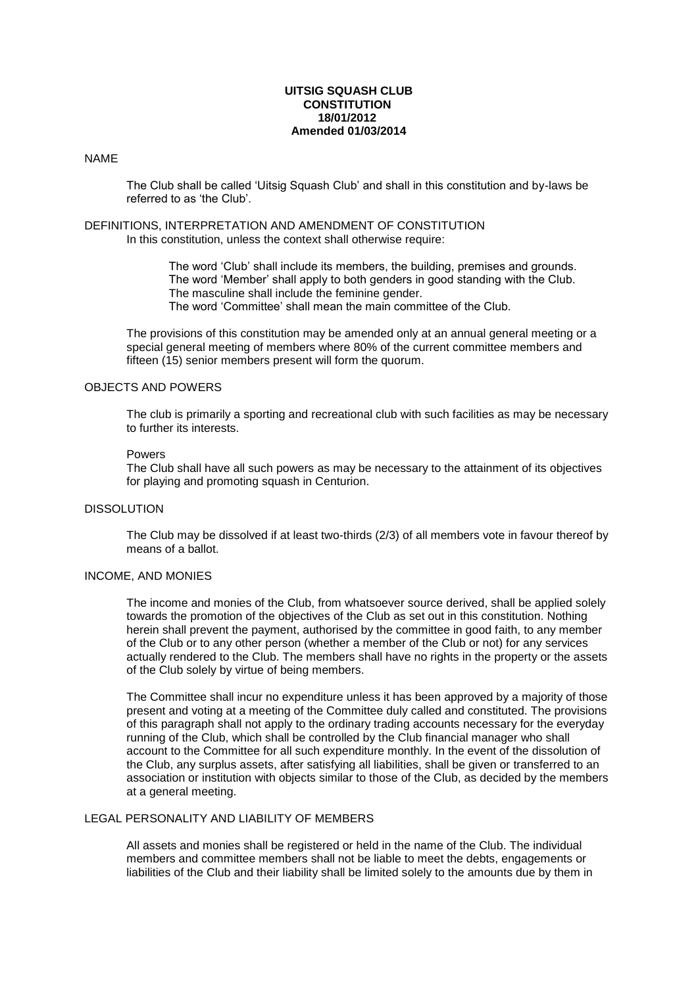### **UITSIG SQUASH CLUB CONSTITUTION 18/01/2012 Amended 01/03/2014**

### NAME

The Club shall be called 'Uitsig Squash Club' and shall in this constitution and by-laws be referred to as 'the Club'.

### DEFINITIONS, INTERPRETATION AND AMENDMENT OF CONSTITUTION In this constitution, unless the context shall otherwise require:

The word 'Club' shall include its members, the building, premises and grounds. The word 'Member' shall apply to both genders in good standing with the Club. The masculine shall include the feminine gender.

The word 'Committee' shall mean the main committee of the Club.

The provisions of this constitution may be amended only at an annual general meeting or a special general meeting of members where 80% of the current committee members and fifteen (15) senior members present will form the quorum.

### OBJECTS AND POWERS

The club is primarily a sporting and recreational club with such facilities as may be necessary to further its interests.

## Powers

The Club shall have all such powers as may be necessary to the attainment of its objectives for playing and promoting squash in Centurion.

## DISSOLUTION

The Club may be dissolved if at least two-thirds (2/3) of all members vote in favour thereof by means of a ballot.

## INCOME, AND MONIES

The income and monies of the Club, from whatsoever source derived, shall be applied solely towards the promotion of the objectives of the Club as set out in this constitution. Nothing herein shall prevent the payment, authorised by the committee in good faith, to any member of the Club or to any other person (whether a member of the Club or not) for any services actually rendered to the Club. The members shall have no rights in the property or the assets of the Club solely by virtue of being members.

The Committee shall incur no expenditure unless it has been approved by a majority of those present and voting at a meeting of the Committee duly called and constituted. The provisions of this paragraph shall not apply to the ordinary trading accounts necessary for the everyday running of the Club, which shall be controlled by the Club financial manager who shall account to the Committee for all such expenditure monthly. In the event of the dissolution of the Club, any surplus assets, after satisfying all liabilities, shall be given or transferred to an association or institution with objects similar to those of the Club, as decided by the members at a general meeting.

# LEGAL PERSONALITY AND LIABILITY OF MEMBERS

All assets and monies shall be registered or held in the name of the Club. The individual members and committee members shall not be liable to meet the debts, engagements or liabilities of the Club and their liability shall be limited solely to the amounts due by them in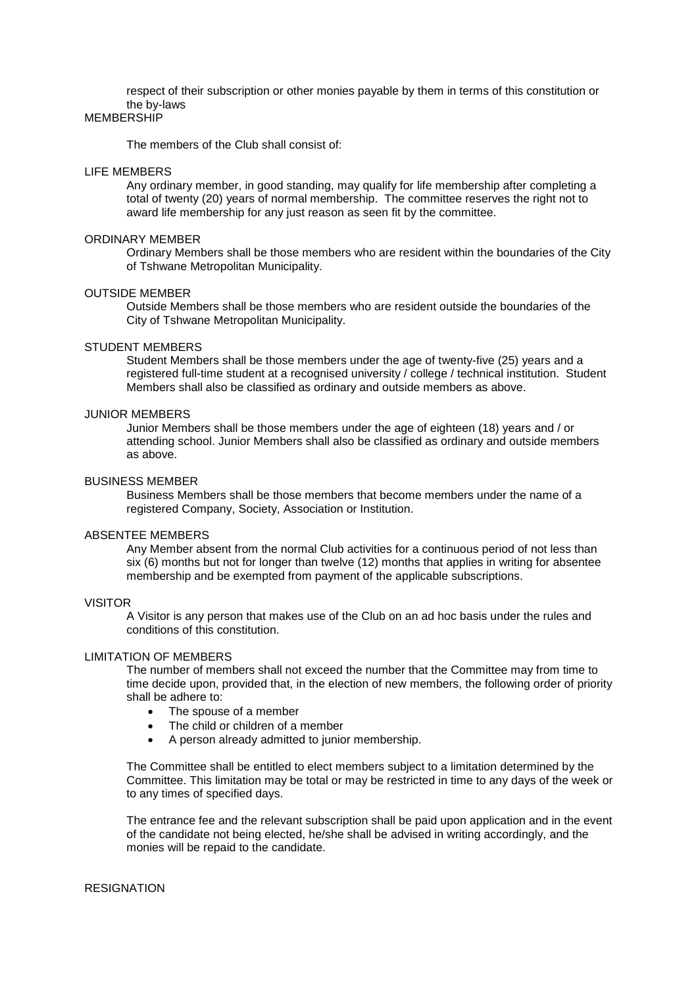respect of their subscription or other monies payable by them in terms of this constitution or the by-laws

## **MEMBERSHIP**

The members of the Club shall consist of:

#### LIFE MEMBERS

Any ordinary member, in good standing, may qualify for life membership after completing a total of twenty (20) years of normal membership. The committee reserves the right not to award life membership for any just reason as seen fit by the committee.

#### ORDINARY MEMBER

Ordinary Members shall be those members who are resident within the boundaries of the City of Tshwane Metropolitan Municipality.

#### OUTSIDE MEMBER

Outside Members shall be those members who are resident outside the boundaries of the City of Tshwane Metropolitan Municipality.

#### STUDENT MEMBERS

Student Members shall be those members under the age of twenty-five (25) years and a registered full-time student at a recognised university / college / technical institution. Student Members shall also be classified as ordinary and outside members as above.

#### JUNIOR MEMBERS

Junior Members shall be those members under the age of eighteen (18) years and / or attending school. Junior Members shall also be classified as ordinary and outside members as above.

### BUSINESS MEMBER

Business Members shall be those members that become members under the name of a registered Company, Society, Association or Institution.

### ABSENTEE MEMBERS

Any Member absent from the normal Club activities for a continuous period of not less than six (6) months but not for longer than twelve (12) months that applies in writing for absentee membership and be exempted from payment of the applicable subscriptions.

#### VISITOR

A Visitor is any person that makes use of the Club on an ad hoc basis under the rules and conditions of this constitution.

#### LIMITATION OF MEMBERS

The number of members shall not exceed the number that the Committee may from time to time decide upon, provided that, in the election of new members, the following order of priority shall be adhere to:

- The spouse of a member
- The child or children of a member
- A person already admitted to junior membership.

The Committee shall be entitled to elect members subject to a limitation determined by the Committee. This limitation may be total or may be restricted in time to any days of the week or to any times of specified days.

The entrance fee and the relevant subscription shall be paid upon application and in the event of the candidate not being elected, he/she shall be advised in writing accordingly, and the monies will be repaid to the candidate.

### **RESIGNATION**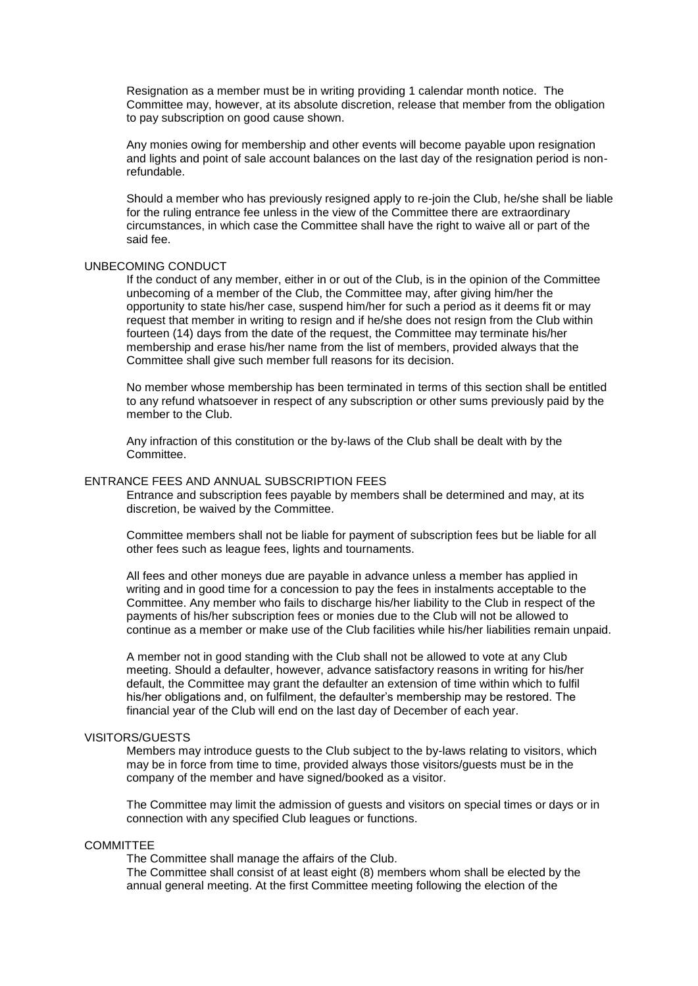Resignation as a member must be in writing providing 1 calendar month notice. The Committee may, however, at its absolute discretion, release that member from the obligation to pay subscription on good cause shown.

Any monies owing for membership and other events will become payable upon resignation and lights and point of sale account balances on the last day of the resignation period is nonrefundable.

Should a member who has previously resigned apply to re-join the Club, he/she shall be liable for the ruling entrance fee unless in the view of the Committee there are extraordinary circumstances, in which case the Committee shall have the right to waive all or part of the said fee.

#### UNBECOMING CONDUCT

If the conduct of any member, either in or out of the Club, is in the opinion of the Committee unbecoming of a member of the Club, the Committee may, after giving him/her the opportunity to state his/her case, suspend him/her for such a period as it deems fit or may request that member in writing to resign and if he/she does not resign from the Club within fourteen (14) days from the date of the request, the Committee may terminate his/her membership and erase his/her name from the list of members, provided always that the Committee shall give such member full reasons for its decision.

No member whose membership has been terminated in terms of this section shall be entitled to any refund whatsoever in respect of any subscription or other sums previously paid by the member to the Club.

Any infraction of this constitution or the by-laws of the Club shall be dealt with by the Committee.

### ENTRANCE FEES AND ANNUAL SUBSCRIPTION FEES

Entrance and subscription fees payable by members shall be determined and may, at its discretion, be waived by the Committee.

Committee members shall not be liable for payment of subscription fees but be liable for all other fees such as league fees, lights and tournaments.

All fees and other moneys due are payable in advance unless a member has applied in writing and in good time for a concession to pay the fees in instalments acceptable to the Committee. Any member who fails to discharge his/her liability to the Club in respect of the payments of his/her subscription fees or monies due to the Club will not be allowed to continue as a member or make use of the Club facilities while his/her liabilities remain unpaid.

A member not in good standing with the Club shall not be allowed to vote at any Club meeting. Should a defaulter, however, advance satisfactory reasons in writing for his/her default, the Committee may grant the defaulter an extension of time within which to fulfil his/her obligations and, on fulfilment, the defaulter's membership may be restored. The financial year of the Club will end on the last day of December of each year.

#### VISITORS/GUESTS

Members may introduce guests to the Club subject to the by-laws relating to visitors, which may be in force from time to time, provided always those visitors/guests must be in the company of the member and have signed/booked as a visitor.

The Committee may limit the admission of guests and visitors on special times or days or in connection with any specified Club leagues or functions.

### **COMMITTEE**

The Committee shall manage the affairs of the Club.

The Committee shall consist of at least eight (8) members whom shall be elected by the annual general meeting. At the first Committee meeting following the election of the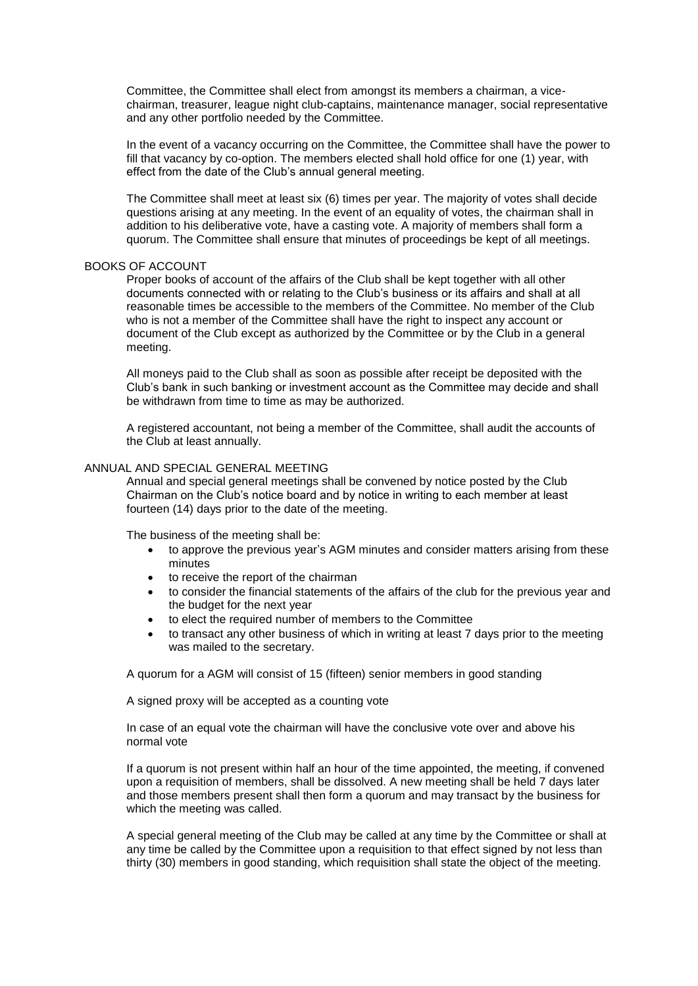Committee, the Committee shall elect from amongst its members a chairman, a vicechairman, treasurer, league night club-captains, maintenance manager, social representative and any other portfolio needed by the Committee.

In the event of a vacancy occurring on the Committee, the Committee shall have the power to fill that vacancy by co-option. The members elected shall hold office for one (1) year, with effect from the date of the Club's annual general meeting.

The Committee shall meet at least six (6) times per year. The majority of votes shall decide questions arising at any meeting. In the event of an equality of votes, the chairman shall in addition to his deliberative vote, have a casting vote. A majority of members shall form a quorum. The Committee shall ensure that minutes of proceedings be kept of all meetings.

#### BOOKS OF ACCOUNT

Proper books of account of the affairs of the Club shall be kept together with all other documents connected with or relating to the Club's business or its affairs and shall at all reasonable times be accessible to the members of the Committee. No member of the Club who is not a member of the Committee shall have the right to inspect any account or document of the Club except as authorized by the Committee or by the Club in a general meeting.

All moneys paid to the Club shall as soon as possible after receipt be deposited with the Club's bank in such banking or investment account as the Committee may decide and shall be withdrawn from time to time as may be authorized.

A registered accountant, not being a member of the Committee, shall audit the accounts of the Club at least annually.

## ANNUAL AND SPECIAL GENERAL MEETING

Annual and special general meetings shall be convened by notice posted by the Club Chairman on the Club's notice board and by notice in writing to each member at least fourteen (14) days prior to the date of the meeting.

The business of the meeting shall be:

- to approve the previous year's AGM minutes and consider matters arising from these minutes
- to receive the report of the chairman
- to consider the financial statements of the affairs of the club for the previous year and the budget for the next year
- to elect the required number of members to the Committee
- to transact any other business of which in writing at least 7 days prior to the meeting was mailed to the secretary.

A quorum for a AGM will consist of 15 (fifteen) senior members in good standing

A signed proxy will be accepted as a counting vote

In case of an equal vote the chairman will have the conclusive vote over and above his normal vote

If a quorum is not present within half an hour of the time appointed, the meeting, if convened upon a requisition of members, shall be dissolved. A new meeting shall be held 7 days later and those members present shall then form a quorum and may transact by the business for which the meeting was called.

A special general meeting of the Club may be called at any time by the Committee or shall at any time be called by the Committee upon a requisition to that effect signed by not less than thirty (30) members in good standing, which requisition shall state the object of the meeting.